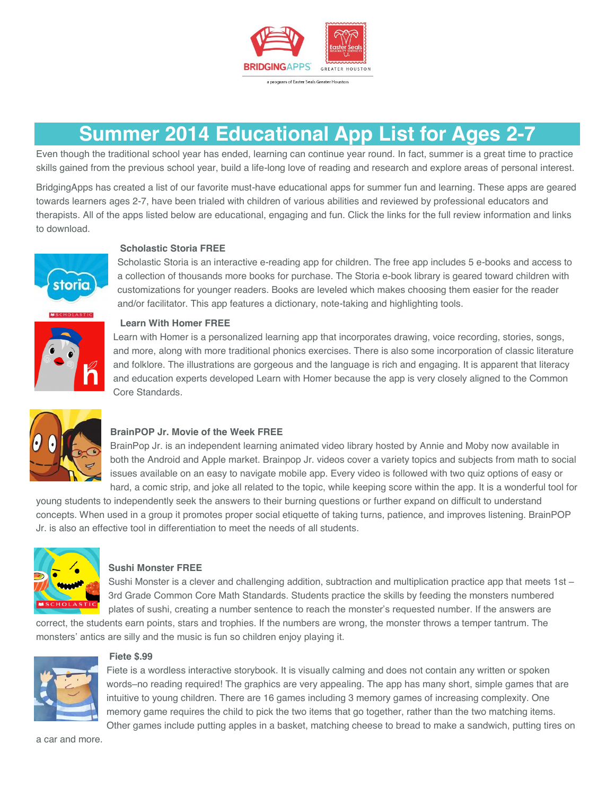

## **Summer 2014 Educational App List for Ages 2-7**

Even though the traditional school year has ended, learning can continue year round. In fact, summer is a great time to practice skills gained from the previous school year, build a life-long love of reading and research and explore areas of personal interest.

BridgingApps has created a list of our favorite must-have educational apps for summer fun and learning. These apps are geared towards learners ages 2-7, have been trialed with children of various abilities and reviewed by professional educators and therapists. All of the apps listed below are educational, engaging and fun. Click the links for the full review information and links to download.



## **Scholastic Storia FREE**

Scholastic Storia is an interactive e-reading app for children. The free app includes 5 e-books and access to a collection of thousands more books for purchase. The Storia e-book library is geared toward children with customizations for younger readers. Books are leveled which makes choosing them easier for the reader and/or facilitator. This app features a dictionary, note-taking and highlighting tools.



## **Learn With Homer FREE**

Learn with Homer is a personalized learning app that incorporates drawing, voice recording, stories, songs, and more, along with more traditional phonics exercises. There is also some incorporation of classic literature and folklore. The illustrations are gorgeous and the language is rich and engaging. It is apparent that literacy and education experts developed Learn with Homer because the app is very closely aligned to the Common Core Standards.



## **BrainPOP Jr. Movie of the Week FREE**

BrainPop Jr. is an independent learning animated video library hosted by Annie and Moby now available in both the Android and Apple market. Brainpop Jr. videos cover a variety topics and subjects from math to social issues available on an easy to navigate mobile app. Every video is followed with two quiz options of easy or hard, a comic strip, and joke all related to the topic, while keeping score within the app. It is a wonderful tool for

young students to independently seek the answers to their burning questions or further expand on difficult to understand concepts. When used in a group it promotes proper social etiquette of taking turns, patience, and improves listening. BrainPOP Jr. is also an effective tool in differentiation to meet the needs of all students.



## **Sushi Monster FREE**

Sushi Monster is a clever and challenging addition, subtraction and multiplication practice app that meets 1st – 3rd Grade Common Core Math Standards. Students practice the skills by feeding the monsters numbered plates of sushi, creating a number sentence to reach the monster's requested number. If the answers are

correct, the students earn points, stars and trophies. If the numbers are wrong, the monster throws a temper tantrum. The monsters' antics are silly and the music is fun so children enjoy playing it.



### **Fiete \$.99**

Fiete is a wordless interactive storybook. It is visually calming and does not contain any written or spoken words–no reading required! The graphics are very appealing. The app has many short, simple games that are intuitive to young children. There are 16 games including 3 memory games of increasing complexity. One memory game requires the child to pick the two items that go together, rather than the two matching items. Other games include putting apples in a basket, matching cheese to bread to make a sandwich, putting tires on

a car and more.